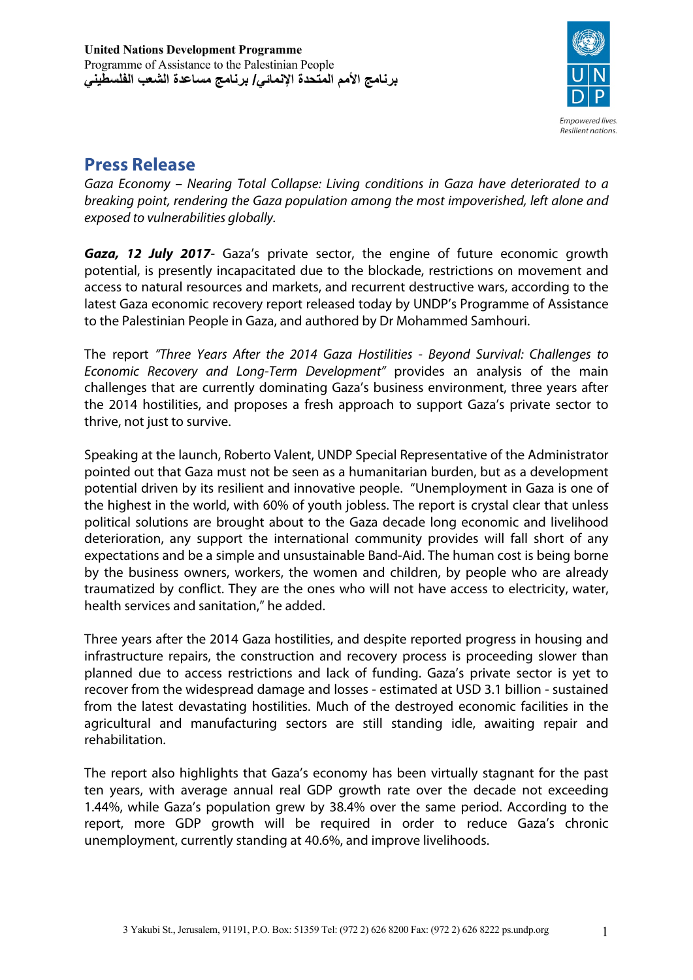

## **Press Release**

*Gaza Economy – Nearing Total Collapse: Living conditions in Gaza have deteriorated to a breaking point, rendering the Gaza population among the most impoverished, left alone and exposed to vulnerabilities globally.*

*Gaza, 12 July 2017*- Gaza's private sector, the engine of future economic growth potential, is presently incapacitated due to the blockade, restrictions on movement and access to natural resources and markets, and recurrent destructive wars, according to the latest Gaza economic recovery report released today by UNDP's Programme of Assistance to the Palestinian People in Gaza, and authored by Dr Mohammed Samhouri.

The report *"Three Years After the 2014 Gaza Hostilities - Beyond Survival: Challenges to Economic Recovery and Long-Term Development"* provides an analysis of the main challenges that are currently dominating Gaza's business environment, three years after the 2014 hostilities, and proposes a fresh approach to support Gaza's private sector to thrive, not just to survive.

Speaking at the launch, Roberto Valent, UNDP Special Representative of the Administrator pointed out that Gaza must not be seen as a humanitarian burden, but as a development potential driven by its resilient and innovative people. "Unemployment in Gaza is one of the highest in the world, with 60% of youth jobless. The report is crystal clear that unless political solutions are brought about to the Gaza decade long economic and livelihood deterioration, any support the international community provides will fall short of any expectations and be a simple and unsustainable Band-Aid. The human cost is being borne by the business owners, workers, the women and children, by people who are already traumatized by conflict. They are the ones who will not have access to electricity, water, health services and sanitation," he added.

Three years after the 2014 Gaza hostilities, and despite reported progress in housing and infrastructure repairs, the construction and recovery process is proceeding slower than planned due to access restrictions and lack of funding. Gaza's private sector is yet to recover from the widespread damage and losses - estimated at USD 3.1 billion - sustained from the latest devastating hostilities. Much of the destroyed economic facilities in the agricultural and manufacturing sectors are still standing idle, awaiting repair and rehabilitation.

The report also highlights that Gaza's economy has been virtually stagnant for the past ten years, with average annual real GDP growth rate over the decade not exceeding 1.44%, while Gaza's population grew by 38.4% over the same period. According to the report, more GDP growth will be required in order to reduce Gaza's chronic unemployment, currently standing at 40.6%, and improve livelihoods.